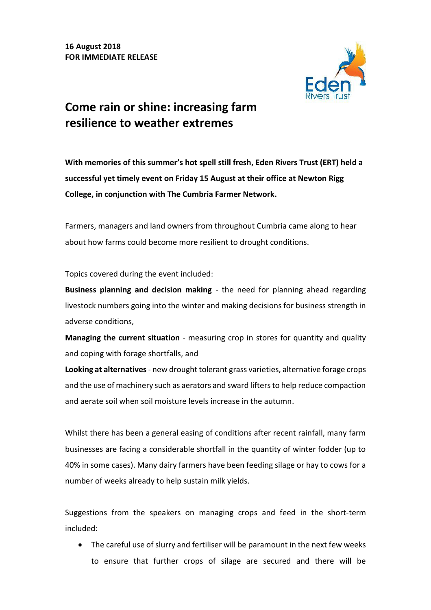

## **Come rain or shine: increasing farm resilience to weather extremes**

**With memories of this summer's hot spell still fresh, Eden Rivers Trust (ERT) held a successful yet timely event on Friday 15 August at their office at Newton Rigg College, in conjunction with The Cumbria Farmer Network.**

Farmers, managers and land owners from throughout Cumbria came along to hear about how farms could become more resilient to drought conditions.

Topics covered during the event included:

**Business planning and decision making** - the need for planning ahead regarding livestock numbers going into the winter and making decisions for business strength in adverse conditions,

**Managing the current situation** - measuring crop in stores for quantity and quality and coping with forage shortfalls, and

**Looking at alternatives**- new drought tolerant grass varieties, alternative forage crops and the use of machinery such as aerators and sward lifters to help reduce compaction and aerate soil when soil moisture levels increase in the autumn.

Whilst there has been a general easing of conditions after recent rainfall, many farm businesses are facing a considerable shortfall in the quantity of winter fodder (up to 40% in some cases). Many dairy farmers have been feeding silage or hay to cows for a number of weeks already to help sustain milk yields.

Suggestions from the speakers on managing crops and feed in the short-term included:

 The careful use of slurry and fertiliser will be paramount in the next few weeks to ensure that further crops of silage are secured and there will be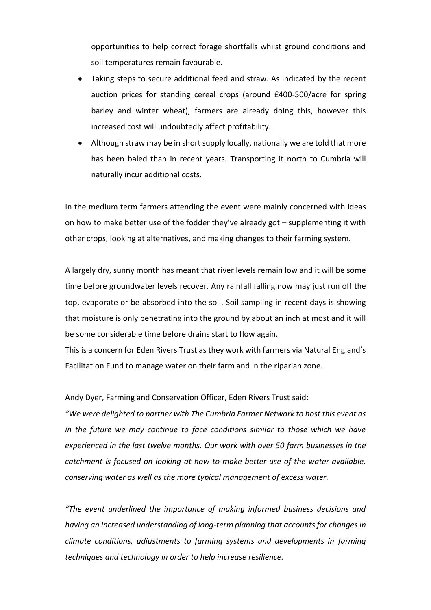opportunities to help correct forage shortfalls whilst ground conditions and soil temperatures remain favourable.

- Taking steps to secure additional feed and straw. As indicated by the recent auction prices for standing cereal crops (around £400-500/acre for spring barley and winter wheat), farmers are already doing this, however this increased cost will undoubtedly affect profitability.
- Although straw may be in short supply locally, nationally we are told that more has been baled than in recent years. Transporting it north to Cumbria will naturally incur additional costs.

In the medium term farmers attending the event were mainly concerned with ideas on how to make better use of the fodder they've already got – supplementing it with other crops, looking at alternatives, and making changes to their farming system.

A largely dry, sunny month has meant that river levels remain low and it will be some time before groundwater levels recover. Any rainfall falling now may just run off the top, evaporate or be absorbed into the soil. Soil sampling in recent days is showing that moisture is only penetrating into the ground by about an inch at most and it will be some considerable time before drains start to flow again.

This is a concern for Eden Rivers Trust as they work with farmers via Natural England's Facilitation Fund to manage water on their farm and in the riparian zone.

Andy Dyer, Farming and Conservation Officer, Eden Rivers Trust said:

*"We were delighted to partner with The Cumbria Farmer Network to host this event as in the future we may continue to face conditions similar to those which we have experienced in the last twelve months. Our work with over 50 farm businesses in the catchment is focused on looking at how to make better use of the water available, conserving water as well as the more typical management of excess water.*

*"The event underlined the importance of making informed business decisions and having an increased understanding of long-term planning that accounts for changes in climate conditions, adjustments to farming systems and developments in farming techniques and technology in order to help increase resilience.*